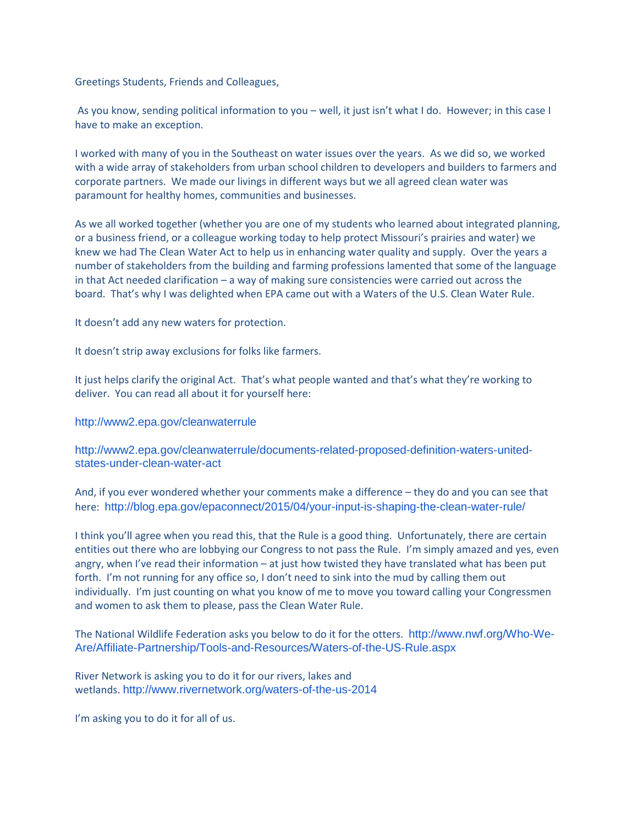Greetings Students, Friends and Colleagues,

As you know, sending political information to you – well, it just isn't what I do. However; in this case I have to make an exception.

I worked with many of you in the Southeast on water issues over the years. As we did so, we worked with a wide array of stakeholders from urban school children to developers and builders to farmers and corporate partners. We made our livings in different ways but we all agreed clean water was paramount for healthy homes, communities and businesses.

As we all worked together (whether you are one of my students who learned about integrated planning, or a business friend, or a colleague working today to help protect Missouri's prairies and water) we knew we had The Clean Water Act to help us in enhancing water quality and supply. Over the years a number of stakeholders from the building and farming professions lamented that some of the language in that Act needed clarification – a way of making sure consistencies were carried out across the board. That's why I was delighted when EPA came out with a Waters of the U.S. Clean Water Rule.

It doesn't add any new waters for protection.

It doesn't strip away exclusions for folks like farmers.

It just helps clarify the original Act. That's what people wanted and that's what they're working to deliver. You can read all about it for yourself here:

<http://www2.epa.gov/cleanwaterrule>

[http://www2.epa.gov/cleanwaterrule/documents-related-proposed-definition-waters-united](http://www2.epa.gov/cleanwaterrule/documents-related-proposed-definition-waters-united-states-under-clean-water-act)[states-under-clean-water-act](http://www2.epa.gov/cleanwaterrule/documents-related-proposed-definition-waters-united-states-under-clean-water-act)

And, if you ever wondered whether your comments make a difference – they do and you can see that here: <http://blog.epa.gov/epaconnect/2015/04/your-input-is-shaping-the-clean-water-rule/>

I think you'll agree when you read this, that the Rule is a good thing. Unfortunately, there are certain entities out there who are lobbying our Congress to not pass the Rule. I'm simply amazed and yes, even angry, when I've read their information – at just how twisted they have translated what has been put forth. I'm not running for any office so, I don't need to sink into the mud by calling them out individually. I'm just counting on what you know of me to move you toward calling your Congressmen and women to ask them to please, pass the Clean Water Rule.

The National Wildlife Federation asks you below to do it for the otters. [http://www.nwf.org/Who-We-](http://www.nwf.org/Who-We-Are/Affiliate-Partnership/Tools-and-Resources/Waters-of-the-US-Rule.aspx)[Are/Affiliate-Partnership/Tools-and-Resources/Waters-of-the-US-Rule.aspx](http://www.nwf.org/Who-We-Are/Affiliate-Partnership/Tools-and-Resources/Waters-of-the-US-Rule.aspx)

River Network is asking you to do it for our rivers, lakes and wetlands. <http://www.rivernetwork.org/waters-of-the-us-2014>

I'm asking you to do it for all of us.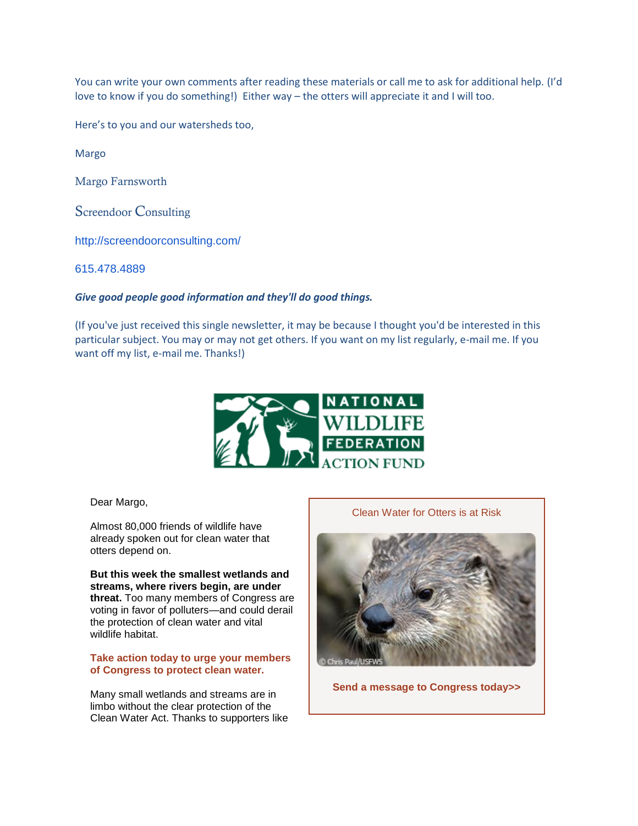You can write your own comments after reading these materials or call me to ask for additional help. (I'd love to know if you do something!) Either way – the otters will appreciate it and I will too.

Here's to you and our watersheds too,

Margo

Margo Farnsworth

Screendoor Consulting

<http://screendoorconsulting.com/>

[615.478.4889](tel:(615)%20478-4889)

## *Give good people good information and they'll do good things.*

(If you've just received this single newsletter, it may be because I thought you'd be interested in this particular subject. You may or may not get others. If you want on my list regularly, e-mail me. If you want off my list, e-mail me. Thanks!)



Dear Margo,

Almost 80,000 friends of wildlife have already spoken out for clean water that otters depend on.

**But this week the smallest wetlands and streams, where rivers begin, are under threat.** Too many members of Congress are voting in favor of polluters—and could derail the protection of clean water and vital wildlife habitat.

**[Take action today to urge your members](http://online.nwf.org/site/R?i=Ep-eP-W9d1BI3vrTFDrDtQ)  [of Congress to protect clean water.](http://online.nwf.org/site/R?i=Ep-eP-W9d1BI3vrTFDrDtQ)**

Many small wetlands and streams are in limbo without the clear protection of the Clean Water Act. Thanks to supporters like

Clean Water for Otters is at Risk



**[Send a message to Congress today>>](http://online.nwf.org/site/R?i=xdyoFZ7udinnWeZEKOEgug)**